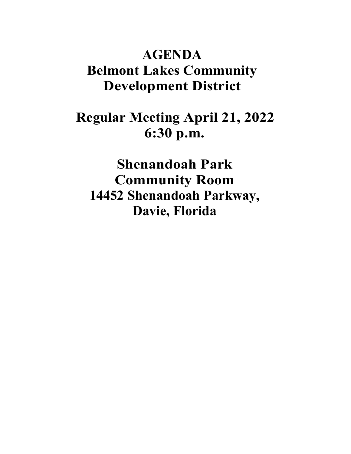# **AGENDA Belmont Lakes Community Development District**

# **Regular Meeting April 21, 2022 6:30 p.m.**

**Shenandoah Park Community Room 14452 Shenandoah Parkway, Davie, Florida**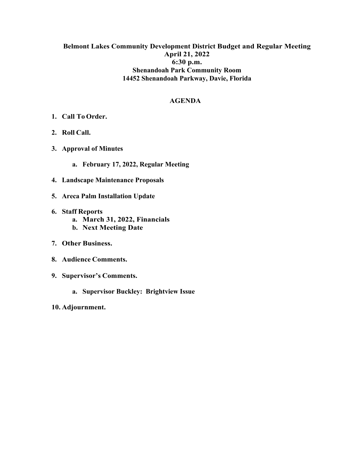### **Belmont Lakes Community Development District Budget and Regular Meeting April 21, 2022 6:30 p.m. Shenandoah Park Community Room 14452 Shenandoah Parkway, Davie, Florida**

#### **AGENDA**

- **1. Call To Order.**
- **2. Roll Call.**
- **3. Approval of Minutes**
	- **a. February 17, 2022, Regular Meeting**
- **4. Landscape Maintenance Proposals**
- **5. Areca Palm Installation Update**
- **6. Staff Reports**
	- **a. March 31, 2022, Financials**
	- **b. Next Meeting Date**
- **7. Other Business.**
- **8. Audience Comments.**
- **9. Supervisor's Comments.**
	- **a. Supervisor Buckley: Brightview Issue**
- **10. Adjournment.**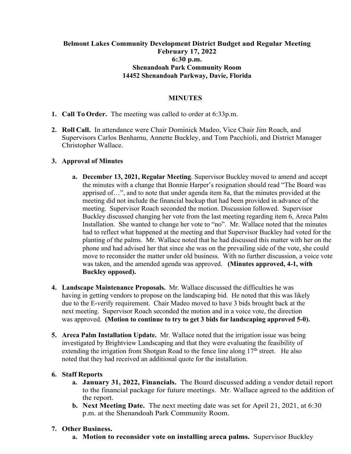### **Belmont Lakes Community Development District Budget and Regular Meeting February 17, 2022 6:30 p.m. Shenandoah Park Community Room 14452 Shenandoah Parkway, Davie, Florida**

#### **MINUTES**

- **1. Call To Order.** The meeting was called to order at 6:33p.m.
- **2. Roll Call.** In attendance were Chair Dominick Madeo, Vice Chair Jim Roach, and Supervisors Carlos Benhamu, Annette Buckley, and Tom Pacchioli, and District Manager Christopher Wallace.

#### **3. Approval of Minutes**

- **a. December 13, 2021, Regular Meeting**. Supervisor Buckley moved to amend and accept the minutes with a change that Bonnie Harper's resignation should read "The Board was apprised of…", and to note that under agenda item 8a, that the minutes provided at the meeting did not include the financial backup that had been provided in advance of the meeting. Supervisor Roach seconded the motion. Discussion followed. Supervisor Buckley discussed changing her vote from the last meeting regarding item 6, Areca Palm Installation. She wanted to change her vote to "no". Mr. Wallace noted that the minutes had to reflect what happened at the meeting and that Supervisor Buckley had voted for the planting of the palms. Mr. Wallace noted that he had discussed this matter with her on the phone and had advised her that since she was on the prevailing side of the vote, she could move to reconsider the matter under old business. With no further discussion, a voice vote was taken, and the amended agenda was approved. **(Minutes approved, 4-1, with Buckley opposed).**
- **4. Landscape Maintenance Proposals.** Mr. Wallace discussed the difficulties he was having in getting vendors to propose on the landscaping bid. He noted that this was likely due to the E-verify requirement. Chair Madeo moved to have 3 bids brought back at the next meeting. Supervisor Roach seconded the motion and in a voice vote, the direction was approved. **(Motion to continue to try to get 3 bids for landscaping approved 5-0).**
- **5. Areca Palm Installation Update.** Mr. Wallace noted that the irrigation issue was being investigated by Brightview Landscaping and that they were evaluating the feasibility of extending the irrigation from Shotgun Road to the fence line along  $17<sup>th</sup>$  street. He also noted that they had received an additional quote for the installation.

#### **6. Staff Reports**

- **a. January 31, 2022, Financials.** The Board discussed adding a vendor detail report to the financial package for future meetings. Mr. Wallace agreed to the addition of the report.
- **b. Next Meeting Date.** The next meeting date was set for April 21, 2021, at 6:30 p.m. at the Shenandoah Park Community Room.

#### **7. Other Business.**

**a. Motion to reconsider vote on installing areca palms.** Supervisor Buckley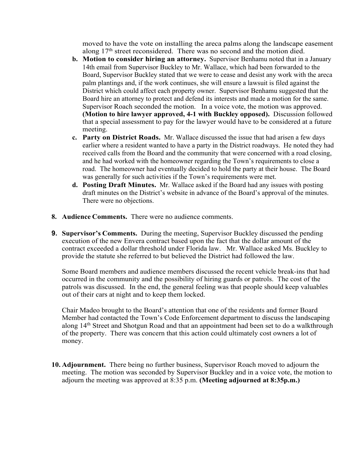moved to have the vote on installing the areca palms along the landscape easement along 17<sup>th</sup> street reconsidered. There was no second and the motion died.

- **b. Motion to consider hiring an attorney.** Supervisor Benhamu noted that in a January 14th email from Supervisor Buckley to Mr. Wallace, which had been forwarded to the Board, Supervisor Buckley stated that we were to cease and desist any work with the areca palm plantings and, if the work continues, she will ensure a lawsuit is filed against the District which could affect each property owner. Supervisor Benhamu suggested that the Board hire an attorney to protect and defend its interests and made a motion for the same. Supervisor Roach seconded the motion. In a voice vote, the motion was approved. **(Motion to hire lawyer approved, 4-1 with Buckley opposed).** Discussion followed that a special assessment to pay for the lawyer would have to be considered at a future meeting.
- **c. Party on District Roads.** Mr. Wallace discussed the issue that had arisen a few days earlier where a resident wanted to have a party in the District roadways. He noted they had received calls from the Board and the community that were concerned with a road closing, and he had worked with the homeowner regarding the Town's requirements to close a road. The homeowner had eventually decided to hold the party at their house. The Board was generally for such activities if the Town's requirements were met.
- **d. Posting Draft Minutes.** Mr. Wallace asked if the Board had any issues with posting draft minutes on the District's website in advance of the Board's approval of the minutes. There were no objections.
- **8. Audience Comments.** There were no audience comments.
- **9. Supervisor's Comments.** During the meeting, Supervisor Buckley discussed the pending execution of the new Envera contract based upon the fact that the dollar amount of the contract exceeded a dollar threshold under Florida law. Mr. Wallace asked Ms. Buckley to provide the statute she referred to but believed the District had followed the law.

Some Board members and audience members discussed the recent vehicle break-ins that had occurred in the community and the possibility of hiring guards or patrols. The cost of the patrols was discussed. In the end, the general feeling was that people should keep valuables out of their cars at night and to keep them locked.

Chair Madeo brought to the Board's attention that one of the residents and former Board Member had contacted the Town's Code Enforcement department to discuss the landscaping along 14<sup>th</sup> Street and Shotgun Road and that an appointment had been set to do a walkthrough of the property. There was concern that this action could ultimately cost owners a lot of money.

**10. Adjournment.** There being no further business, Supervisor Roach moved to adjourn the meeting. The motion was seconded by Supervisor Buckley and in a voice vote, the motion to adjourn the meeting was approved at 8:35 p.m. **(Meeting adjourned at 8:35p.m.)**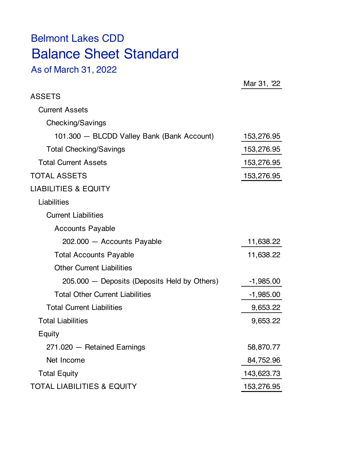# Belmont Lakes CDD Balance Sheet Standard

As of March 31, 2022

|                                              | Mar 31, 22  |
|----------------------------------------------|-------------|
| <b>ASSETS</b>                                |             |
| <b>Current Assets</b>                        |             |
| Checking/Savings                             |             |
| 101.300 - BLCDD Valley Bank (Bank Account)   | 153,276.95  |
| <b>Total Checking/Savings</b>                | 153,276.95  |
| <b>Total Current Assets</b>                  | 153,276.95  |
| <b>TOTAL ASSETS</b>                          | 153,276.95  |
| <b>LIABILITIES &amp; EQUITY</b>              |             |
| Liabilities                                  |             |
| <b>Current Liabilities</b>                   |             |
| <b>Accounts Payable</b>                      |             |
| 202.000 - Accounts Payable                   | 11,638.22   |
| <b>Total Accounts Payable</b>                | 11,638.22   |
| <b>Other Current Liabilities</b>             |             |
| 205.000 - Deposits (Deposits Held by Others) | $-1,985.00$ |
| <b>Total Other Current Liabilities</b>       | $-1,985.00$ |
| <b>Total Current Liabilities</b>             | 9,653.22    |
| <b>Total Liabilities</b>                     | 9,653.22    |
| Equity                                       |             |
| 271.020 - Retained Earnings                  | 58,870.77   |
| Net Income                                   | 84,752.96   |
| <b>Total Equity</b>                          | 143,623.73  |
| <b>TOTAL LIABILITIES &amp; EQUITY</b>        | 153,276.95  |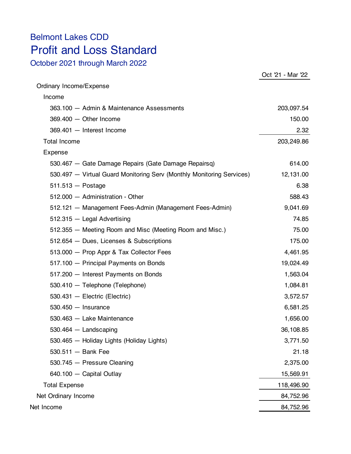## Belmont Lakes CDD Profit and Loss Standard

October 2021 through March 2022

|                                                                       | Oct '21 - Mar '22 |
|-----------------------------------------------------------------------|-------------------|
| Ordinary Income/Expense                                               |                   |
| Income                                                                |                   |
| 363.100 - Admin & Maintenance Assessments                             | 203,097.54        |
| 369.400 - Other Income                                                | 150.00            |
| 369.401 - Interest Income                                             | 2.32              |
| <b>Total Income</b>                                                   | 203,249.86        |
| Expense                                                               |                   |
| 530.467 - Gate Damage Repairs (Gate Damage Repairsq)                  | 614.00            |
| 530.497 - Virtual Guard Monitoring Serv (Monthly Monitoring Services) | 12,131.00         |
| $511.513 - Postage$                                                   | 6.38              |
| 512.000 - Administration - Other                                      | 588.43            |
| 512.121 - Management Fees-Admin (Management Fees-Admin)               | 9,041.69          |
| 512.315 - Legal Advertising                                           | 74.85             |
| 512.355 – Meeting Room and Misc (Meeting Room and Misc.)              | 75.00             |
| 512.654 - Dues, Licenses & Subscriptions                              | 175.00            |
| 513.000 - Prop Appr & Tax Collector Fees                              | 4,461.95          |
| 517.100 - Principal Payments on Bonds                                 | 19,024.49         |
| 517.200 - Interest Payments on Bonds                                  | 1,563.04          |
| 530.410 - Telephone (Telephone)                                       | 1,084.81          |
| 530.431 - Electric (Electric)                                         | 3,572.57          |
| $530.450 -$ Insurance                                                 | 6,581.25          |
| 530.463 - Lake Maintenance                                            | 1,656.00          |
| 530.464 - Landscaping                                                 | 36,108.85         |
| 530.465 - Holiday Lights (Holiday Lights)                             | 3,771.50          |
| $530.511 -$ Bank Fee                                                  | 21.18             |
| 530.745 - Pressure Cleaning                                           | 2,375.00          |
| 640.100 - Capital Outlay                                              | 15,569.91         |
| <b>Total Expense</b>                                                  | 118,496.90        |
| Net Ordinary Income                                                   | 84,752.96         |
| Net Income                                                            | 84,752.96         |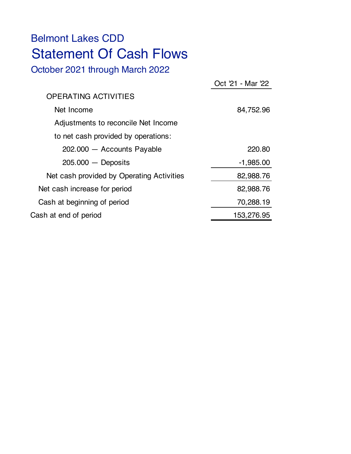# Belmont Lakes CDD Statement Of Cash Flows

October 2021 through March 2022

|                                           | Oct '21 - Mar '22 |
|-------------------------------------------|-------------------|
| <b>OPERATING ACTIVITIES</b>               |                   |
| Net Income                                | 84,752.96         |
| Adjustments to reconcile Net Income       |                   |
| to net cash provided by operations:       |                   |
| 202.000 - Accounts Payable                | 220.80            |
| $205.000 -$ Deposits                      | $-1,985.00$       |
| Net cash provided by Operating Activities | 82,988.76         |
| Net cash increase for period              | 82,988.76         |
| Cash at beginning of period               | 70,288.19         |
| Cash at end of period                     | 153,276.95        |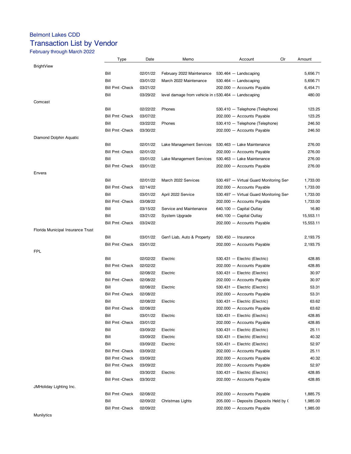### Belmont Lakes CDD Transaction List by Vendor

### February through March 2022

|                                   | <b>Type</b>             | Date     | Memo                                                  | Clr<br>Account                         | Amount    |
|-----------------------------------|-------------------------|----------|-------------------------------------------------------|----------------------------------------|-----------|
| <b>BrightView</b>                 |                         |          |                                                       |                                        |           |
|                                   | Bill                    | 02/01/22 | February 2022 Maintenance                             | $530.464 -$ Landscaping                | 5,656.71  |
|                                   | Bill                    | 03/01/22 | March 2022 Maintenance                                | $530.464 -$ Landscaping                | 5,656.71  |
|                                   | <b>Bill Pmt -Check</b>  | 03/21/22 |                                                       | 202.000 - Accounts Payable             | 6,454.71  |
|                                   | Bill                    | 03/29/22 | level damage from vehicle in $s530.464$ - Landscaping |                                        | 480.00    |
| Comcast                           |                         |          |                                                       |                                        |           |
|                                   | Bill                    | 02/22/22 | Phones                                                | 530.410 - Telephone (Telephone)        | 123.25    |
|                                   | <b>Bill Pmt -Check</b>  | 03/07/22 |                                                       | 202.000 - Accounts Payable             | 123.25    |
|                                   | Bill                    | 03/22/22 | Phones                                                | 530.410 - Telephone (Telephone)        | 246.50    |
|                                   | <b>Bill Pmt -Check</b>  | 03/30/22 |                                                       | 202.000 - Accounts Payable             | 246.50    |
| Diamond Dolphin Aquatic           |                         |          |                                                       |                                        |           |
|                                   | Bill                    | 02/01/22 | Lake Management Services                              | 530.463 - Lake Maintenance             | 276.00    |
|                                   | <b>Bill Pmt - Check</b> | 02/01/22 |                                                       | 202.000 - Accounts Payable             | 276.00    |
|                                   | Bill                    | 03/01/22 | Lake Management Services                              | 530.463 - Lake Maintenance             | 276.00    |
|                                   | <b>Bill Pmt - Check</b> | 03/01/22 |                                                       |                                        | 276.00    |
|                                   |                         |          |                                                       | 202.000 - Accounts Payable             |           |
| Envera                            | Bill                    | 02/01/22 | March 2022 Services                                   |                                        | 1,733.00  |
|                                   | <b>Bill Pmt -Check</b>  | 02/14/22 |                                                       | 530.497 - Virtual Guard Monitoring Ser |           |
|                                   |                         |          |                                                       | 202.000 - Accounts Payable             | 1,733.00  |
|                                   | Bill                    | 03/01/22 | April 2022 Service                                    | 530.497 - Virtual Guard Monitoring Ser | 1,733.00  |
|                                   | <b>Bill Pmt - Check</b> | 03/08/22 |                                                       | 202.000 - Accounts Payable             | 1,733.00  |
|                                   | Bill                    | 03/15/22 | Service and Maintenance                               | 640.100 - Capital Outlay               | 16.80     |
|                                   | Bill                    | 03/21/22 | System Upgrade                                        | 640.100 - Capital Outlay               | 15,553.11 |
|                                   | <b>Bill Pmt -Check</b>  | 03/24/22 |                                                       | 202.000 - Accounts Payable             | 15,553.11 |
| Florida Municipal Insurance Trust |                         |          |                                                       |                                        |           |
|                                   | Bill                    | 03/01/22 | Gen'l Liab, Auto & Property                           | $530.450 -$ Insurance                  | 2,193.75  |
|                                   | <b>Bill Pmt -Check</b>  | 03/01/22 |                                                       | 202.000 - Accounts Payable             | 2,193.75  |
| <b>FPL</b>                        |                         |          |                                                       |                                        |           |
|                                   | Bill                    | 02/02/22 | Electric                                              | 530.431 - Electric (Electric)          | 428.85    |
|                                   | <b>Bill Pmt - Check</b> | 02/02/22 |                                                       | 202.000 - Accounts Payable             | 428.85    |
|                                   | Bill                    | 02/08/22 | Electric                                              | 530.431 - Electric (Electric)          | 30.97     |
|                                   | <b>Bill Pmt - Check</b> | 02/08/22 |                                                       | 202.000 - Accounts Payable             | 30.97     |
|                                   | Bill                    | 02/08/22 | Electric                                              | 530.431 - Electric (Electric)          | 53.31     |
|                                   | <b>Bill Pmt -Check</b>  | 02/08/22 |                                                       | 202.000 - Accounts Payable             | 53.31     |
|                                   | Bill                    | 02/08/22 | Electric                                              | 530.431 - Electric (Electric)          | 63.62     |
|                                   | <b>Bill Pmt -Check</b>  | 02/08/22 |                                                       | 202.000 - Accounts Payable             | 63.62     |
|                                   | Bill                    | 03/01/22 | Electric                                              | 530.431 - Electric (Electric)          | 428.85    |
|                                   | <b>Bill Pmt -Check</b>  | 03/01/22 |                                                       | 202.000 - Accounts Payable             | 428.85    |
|                                   | Bill                    | 03/09/22 | Electric                                              | 530.431 - Electric (Electric)          | 25.11     |
|                                   | Bill                    | 03/09/22 | Electric                                              | 530.431 - Electric (Electric)          | 40.32     |
|                                   | Bill                    | 03/09/22 | Electric                                              | 530.431 - Electric (Electric)          | 52.97     |
|                                   | <b>Bill Pmt - Check</b> | 03/09/22 |                                                       | 202.000 - Accounts Payable             | 25.11     |
|                                   | <b>Bill Pmt - Check</b> | 03/09/22 |                                                       | 202.000 - Accounts Payable             | 40.32     |
|                                   | <b>Bill Pmt - Check</b> | 03/09/22 |                                                       | 202.000 - Accounts Payable             | 52.97     |
|                                   | Bill                    | 03/30/22 | Electric                                              | 530.431 - Electric (Electric)          | 428.85    |
|                                   | <b>Bill Pmt - Check</b> | 03/30/22 |                                                       | 202.000 - Accounts Payable             | 428.85    |
| JMHoliday Lighting Inc.           |                         |          |                                                       |                                        |           |
|                                   | <b>Bill Pmt - Check</b> | 02/08/22 |                                                       | 202.000 - Accounts Payable             | 1,885.75  |
|                                   | Bill                    | 02/09/22 | Christmas Lights                                      | 205.000 - Deposits (Deposits Held by ( | 1,985.00  |
|                                   | <b>Bill Pmt - Check</b> | 02/09/22 |                                                       | 202.000 - Accounts Payable             | 1,985.00  |
|                                   |                         |          |                                                       |                                        |           |